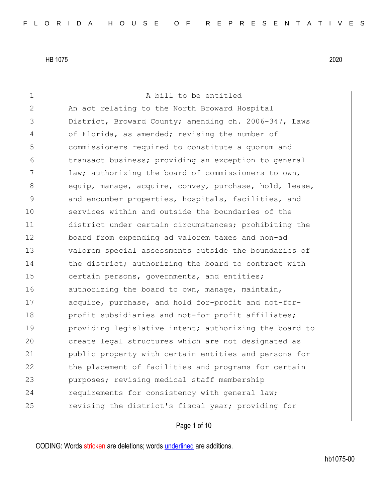1 a bill to be entitled 2 An act relating to the North Broward Hospital 3 District, Broward County; amending ch. 2006-347, Laws 4 of Florida, as amended; revising the number of 5 commissioners required to constitute a quorum and 6 6 transact business; providing an exception to general 7 law; authorizing the board of commissioners to own, 8 equip, manage, acquire, convey, purchase, hold, lease, 9 and encumber properties, hospitals, facilities, and 10 services within and outside the boundaries of the 11 district under certain circumstances; prohibiting the 12 board from expending ad valorem taxes and non-ad 13 valorem special assessments outside the boundaries of 14 the district; authorizing the board to contract with 15 certain persons, governments, and entities; 16 authorizing the board to own, manage, maintain, 17 acquire, purchase, and hold for-profit and not-for-18 **profit subsidiaries and not-for profit affiliates;** 19 **providing legislative intent;** authorizing the board to 20 create legal structures which are not designated as 21 public property with certain entities and persons for 22 122 the placement of facilities and programs for certain 23 purposes; revising medical staff membership 24 requirements for consistency with general law; 25 revising the district's fiscal year; providing for

Page 1 of 10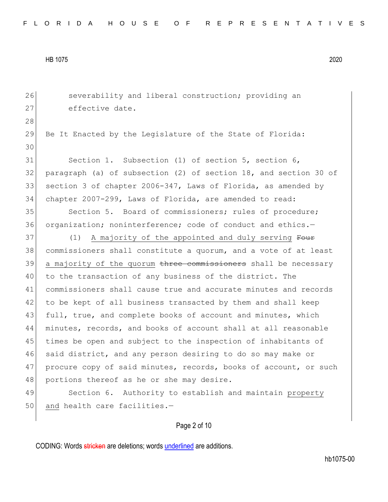26 Severability and liberal construction; providing an 27 effective date. 28 29 Be It Enacted by the Legislature of the State of Florida: 30 31 Section 1. Subsection (1) of section 5, section 6, 32 paragraph (a) of subsection (2) of section 18, and section 30 of 33 section 3 of chapter 2006-347, Laws of Florida, as amended by 34 chapter 2007-299, Laws of Florida, are amended to read: 35 Section 5. Board of commissioners; rules of procedure; 36 organization; noninterference; code of conduct and ethics.-37 (1) A majority of the appointed and duly serving Four 38 commissioners shall constitute a quorum, and a vote of at least 39 a majority of the quorum three commissioners shall be necessary 40 to the transaction of any business of the district. The 41 commissioners shall cause true and accurate minutes and records 42 to be kept of all business transacted by them and shall keep 43 full, true, and complete books of account and minutes, which 44 minutes, records, and books of account shall at all reasonable 45 times be open and subject to the inspection of inhabitants of 46 said district, and any person desiring to do so may make or 47 procure copy of said minutes, records, books of account, or such 48 portions thereof as he or she may desire. 49 Section 6. Authority to establish and maintain property 50 and health care facilities.-

Page 2 of 10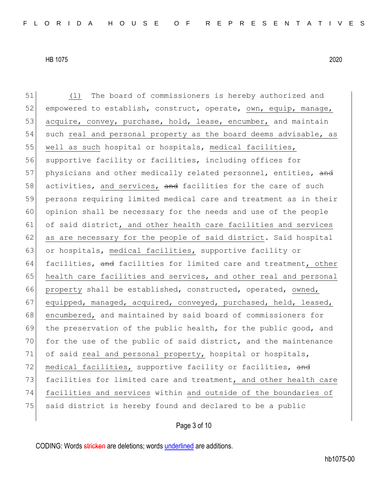51 (1) The board of commissioners is hereby authorized and

HB 1075 2020

52 empowered to establish, construct, operate, own, equip, manage, 53 acquire, convey, purchase, hold, lease, encumber, and maintain 54 such real and personal property as the board deems advisable, as 55 well as such hospital or hospitals, medical facilities, 56 supportive facility or facilities, including offices for 57 physicians and other medically related personnel, entities, and 58 activities, and services, and facilities for the care of such 59 persons requiring limited medical care and treatment as in their 60 opinion shall be necessary for the needs and use of the people 61 of said district, and other health care facilities and services 62 as are necessary for the people of said district. Said hospital 63 or hospitals, medical facilities, supportive facility or 64 facilities, and facilities for limited care and treatment, other 65 health care facilities and services, and other real and personal 66 property shall be established, constructed, operated, owned, 67 equipped, managed, acquired, conveyed, purchased, held, leased, 68 encumbered, and maintained by said board of commissioners for 69 the preservation of the public health, for the public good, and 70 for the use of the public of said district, and the maintenance 71 of said real and personal property, hospital or hospitals, 72 medical facilities, supportive facility or facilities, and 73 facilities for limited care and treatment, and other health care 74 facilities and services within and outside of the boundaries of 75 said district is hereby found and declared to be a public

Page 3 of 10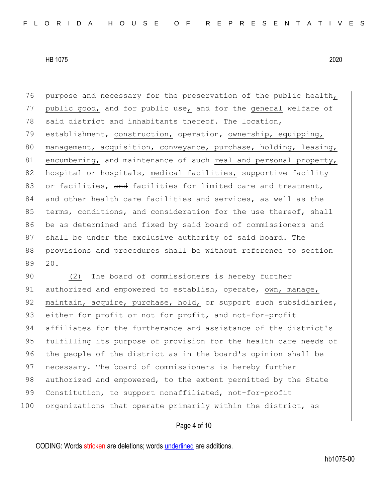76 purpose and necessary for the preservation of the public health, 77 public good, and for public use, and for the general welfare of 78 said district and inhabitants thereof. The location, 79 establishment, construction, operation, ownership, equipping, 80 management, acquisition, conveyance, purchase, holding, leasing, 81 encumbering, and maintenance of such real and personal property, 82 hospital or hospitals, medical facilities, supportive facility 83 or facilities, and facilities for limited care and treatment, 84 and other health care facilities and services, as well as the 85 terms, conditions, and consideration for the use thereof, shall 86 be as determined and fixed by said board of commissioners and 87 shall be under the exclusive authority of said board. The 88 provisions and procedures shall be without reference to section 89 20.

90 (2) The board of commissioners is hereby further 91 authorized and empowered to establish, operate, own, manage, 92 maintain, acquire, purchase, hold, or support such subsidiaries, 93 either for profit or not for profit, and not-for-profit 94 affiliates for the furtherance and assistance of the district's 95 fulfilling its purpose of provision for the health care needs of 96 the people of the district as in the board's opinion shall be 97 necessary. The board of commissioners is hereby further 98 authorized and empowered, to the extent permitted by the State 99 Constitution, to support nonaffiliated, not-for-profit 100 organizations that operate primarily within the district, as

Page 4 of 10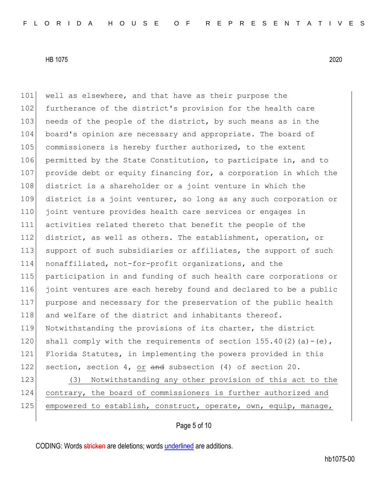101 well as elsewhere, and that have as their purpose the 102 furtherance of the district's provision for the health care 103 needs of the people of the district, by such means as in the 104 board's opinion are necessary and appropriate. The board of 105 commissioners is hereby further authorized, to the extent 106 permitted by the State Constitution, to participate in, and to 107 provide debt or equity financing for, a corporation in which the 108 district is a shareholder or a joint venture in which the 109 district is a joint venturer, so long as any such corporation or 110 joint venture provides health care services or engages in 111 activities related thereto that benefit the people of the 112 district, as well as others. The establishment, operation, or 113 support of such subsidiaries or affiliates, the support of such 114 nonaffiliated, not-for-profit organizations, and the 115 participation in and funding of such health care corporations or 116 joint ventures are each hereby found and declared to be a public 117 purpose and necessary for the preservation of the public health 118 and welfare of the district and inhabitants thereof. 119 Notwithstanding the provisions of its charter, the district 120 shall comply with the requirements of section  $155.40(2)(a)-(e)$ , 121 Florida Statutes, in implementing the powers provided in this 122 section, section 4, or and subsection (4) of section 20. 123 (3) Notwithstanding any other provision of this act to the 124 contrary, the board of commissioners is further authorized and

Page 5 of 10

125 empowered to establish, construct, operate, own, equip, manage,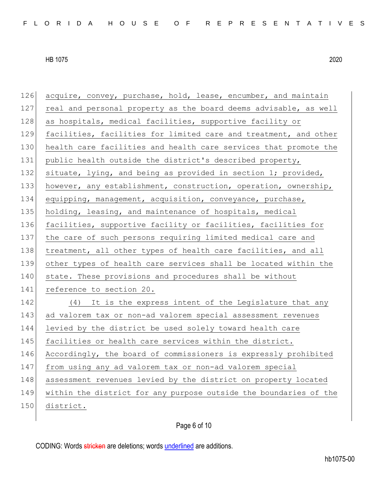| 126 | acquire, convey, purchase, hold, lease, encumber, and maintain    |
|-----|-------------------------------------------------------------------|
| 127 | real and personal property as the board deems advisable, as well  |
| 128 | as hospitals, medical facilities, supportive facility or          |
| 129 | facilities, facilities for limited care and treatment, and other  |
| 130 | health care facilities and health care services that promote the  |
| 131 | public health outside the district's described property,          |
| 132 | situate, lying, and being as provided in section 1; provided,     |
| 133 | however, any establishment, construction, operation, ownership,   |
| 134 | equipping, management, acquisition, conveyance, purchase,         |
| 135 | holding, leasing, and maintenance of hospitals, medical           |
| 136 | facilities, supportive facility or facilities, facilities for     |
| 137 | the care of such persons requiring limited medical care and       |
| 138 | treatment, all other types of health care facilities, and all     |
| 139 | other types of health care services shall be located within the   |
| 140 | state. These provisions and procedures shall be without           |
| 141 | reference to section 20.                                          |
| 142 | (4) It is the express intent of the Legislature that any          |
| 143 | ad valorem tax or non-ad valorem special assessment revenues      |
| 144 | levied by the district be used solely toward health care          |
| 145 | facilities or health care services within the district.           |
| 146 | Accordingly, the board of commissioners is expressly prohibited   |
| 147 | from using any ad valorem tax or non-ad valorem special           |
| 148 | assessment revenues levied by the district on property located    |
| 149 | within the district for any purpose outside the boundaries of the |
| 150 | district.                                                         |
|     |                                                                   |

Page 6 of 10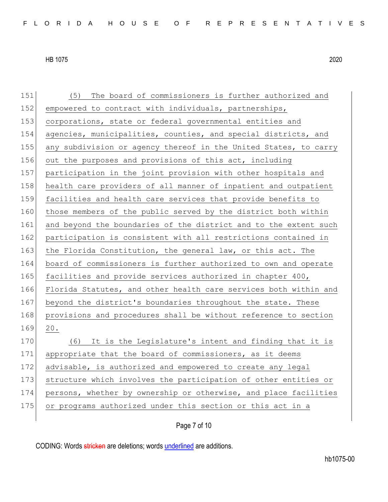| 151 | (5) The board of commissioners is further authorized and         |
|-----|------------------------------------------------------------------|
| 152 | empowered to contract with individuals, partnerships,            |
| 153 | corporations, state or federal governmental entities and         |
| 154 | agencies, municipalities, counties, and special districts, and   |
| 155 | any subdivision or agency thereof in the United States, to carry |
| 156 | out the purposes and provisions of this act, including           |
| 157 | participation in the joint provision with other hospitals and    |
| 158 | health care providers of all manner of inpatient and outpatient  |
| 159 | facilities and health care services that provide benefits to     |
| 160 | those members of the public served by the district both within   |
| 161 | and beyond the boundaries of the district and to the extent such |
| 162 | participation is consistent with all restrictions contained in   |
| 163 | the Florida Constitution, the general law, or this act. The      |
| 164 | board of commissioners is further authorized to own and operate  |
| 165 | facilities and provide services authorized in chapter 400,       |
| 166 | Florida Statutes, and other health care services both within and |
| 167 | beyond the district's boundaries throughout the state. These     |
| 168 | provisions and procedures shall be without reference to section  |
| 169 | 20.                                                              |
| 170 | It is the Legislature's intent and finding that it is<br>(6)     |
| 171 | appropriate that the board of commissioners, as it deems         |
| 172 | advisable, is authorized and empowered to create any legal       |
| 173 | structure which involves the participation of other entities or  |
| 174 | persons, whether by ownership or otherwise, and place facilities |
| 175 | or programs authorized under this section or this act in a       |
|     |                                                                  |

Page 7 of 10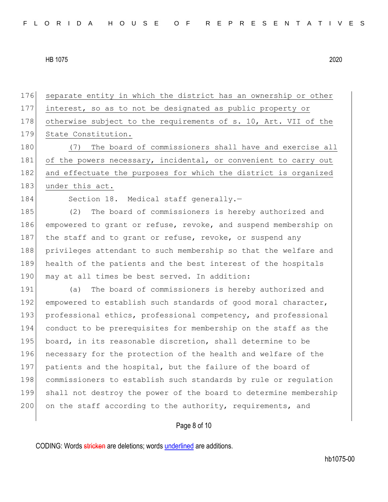176 separate entity in which the district has an ownership or other 177 interest, so as to not be designated as public property or 178 otherwise subject to the requirements of s. 10, Art. VII of the 179 State Constitution. 180 (7) The board of commissioners shall have and exercise all 181 of the powers necessary, incidental, or convenient to carry out 182 and effectuate the purposes for which the district is organized 183 under this act. 184 Section 18. Medical staff generally.-185 (2) The board of commissioners is hereby authorized and 186 empowered to grant or refuse, revoke, and suspend membership on 187 | the staff and to grant or refuse, revoke, or suspend any 188 privileges attendant to such membership so that the welfare and 189 health of the patients and the best interest of the hospitals 190 may at all times be best served. In addition: 191 (a) The board of commissioners is hereby authorized and 192 empowered to establish such standards of good moral character, 193 professional ethics, professional competency, and professional 194 conduct to be prerequisites for membership on the staff as the 195 board, in its reasonable discretion, shall determine to be 196 necessary for the protection of the health and welfare of the 197 patients and the hospital, but the failure of the board of 198 commissioners to establish such standards by rule or regulation 199 shall not destroy the power of the board to determine membership

200 on the staff according to the authority, requirements, and

## Page 8 of 10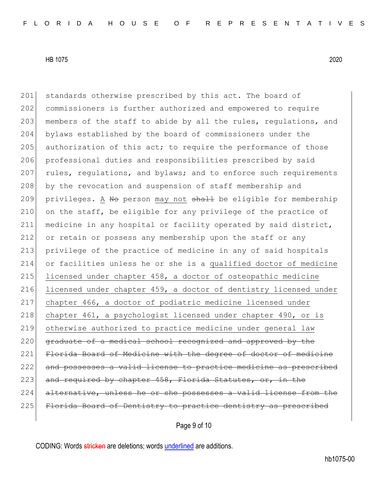201 standards otherwise prescribed by this act. The board of

HB 1075 2020

202 commissioners is further authorized and empowered to require 203 members of the staff to abide by all the rules, regulations, and 204 bylaws established by the board of commissioners under the 205 authorization of this act; to require the performance of those 206 professional duties and responsibilities prescribed by said 207 rules, regulations, and bylaws; and to enforce such requirements 208 by the revocation and suspension of staff membership and 209 privileges. A No person may not shall be eligible for membership 210 on the staff, be eligible for any privilege of the practice of 211 medicine in any hospital or facility operated by said district, 212 or retain or possess any membership upon the staff or any 213 privilege of the practice of medicine in any of said hospitals 214 or facilities unless he or she is a qualified doctor of medicine 215 licensed under chapter 458, a doctor of osteopathic medicine 216 licensed under chapter 459, a doctor of dentistry licensed under 217 chapter 466, a doctor of podiatric medicine licensed under 218 chapter 461, a psychologist licensed under chapter 490, or is 219 otherwise authorized to practice medicine under general law 220 graduate of a medical school recognized and approved by the 221 Florida Board of Medicine with the degree of doctor of medicine 222 and possesses a valid license to practice medicine as prescribed 223 and required by chapter 458, Florida Statutes, or, in the

224 alternative, unless he or she possesses a valid license from the

225 Florida Board of Dentistry to practice dentistry as prescribed

Page 9 of 10